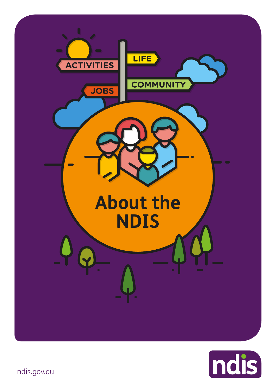



ndis.gov.au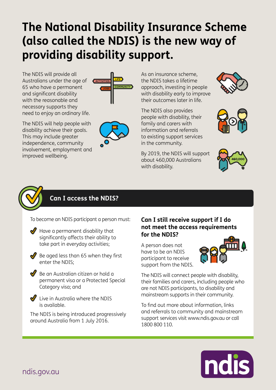# **The National Disability Insurance Scheme (also called the NDIS) is the new way of providing disability support.**

The NDIS will provide all Australians under the age of 65 who have a permanent and significant disability with the reasonable and necessary supports they need to enjoy an ordinary life.

The NDIS will help people with disability achieve their goals. This may include greater independence, community involvement, employment and improved wellbeing.





As an insurance scheme, the NDIS takes a lifetime approach, investing in people with disability early to improve their outcomes later in life.

The NDIS also provides people with disability, their family and carers with information and referrals to existing support services in the community.

By 2019, the NDIS will support about 460,000 Australians with disability.









# **Can I access the NDIS?**

To become an NDIS participant a person must:

- $\blacktriangledown$  Have a permanent disability that significantly affects their ability to take part in everyday activities;
- 

 $\triangleleft$  Be aged less than 65 when they first enter the NDIS;

 $\bigvee$  Be an Australian citizen or hold a permanent visa or a Protected Special Category visa; and



 $\blacksquare$  Live in Australia where the NDIS is available.

The NDIS is being introduced progressively around Australia from 1 July 2016.

### **Can I still receive support if I do not meet the access requirements for the NDIS?**

A person does not have to be an NDIS participant to receive support from the NDIS.



The NDIS will connect people with disability, their families and carers, including people who are not NDIS participants, to disability and mainstream supports in their community.

To find out more about information, links and referrals to community and mainstream support services visit [www.ndis.gov.au](http://www.ndis.gov.au) or call 1800 800 110.

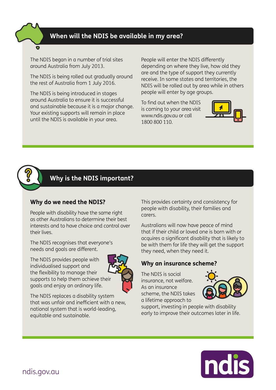## **When will the NDIS be available in my area?**

The NDIS began in a number of trial sites around Australia from July 2013.

The NDIS is being rolled out gradually around the rest of Australia from 1 July 2016.

The NDIS is being introduced in stages around Australia to ensure it is successful and sustainable because it is a major change. Your existing supports will remain in place until the NDIS is available in your area.

People will enter the NDIS differently depending on where they live, how old they are and the type of support they currently receive. In some states and territories, the NDIS will be rolled out by area while in others people will enter by age groups.

To find out when the NDIS is coming to your area visit [www.ndis.gov.au](http://www.ndis.gov.au) or call 1800 800 110.





# **Why is the NDIS important?**

#### **Why do we need the NDIS?**

People with disability have the same right as other Australians to determine their best interests and to have choice and control over their lives.

The NDIS recognises that everyone's needs and goals are different.

The NDIS provides people with individualised support and the flexibility to manage their supports to help them achieve their goals and enjoy an ordinary life.



The NDIS replaces a disability system that was unfair and inefficient with a new, national system that is world-leading, equitable and sustainable.

This provides certainty and consistency for people with disability, their families and carers.

Australians will now have peace of mind that if their child or loved one is born with or acquires a significant disability that is likely to be with them for life they will get the support they need, when they need it.

#### **Why an insurance scheme?**

The NDIS is social insurance, not welfare. As an insurance scheme, the NDIS takes a lifetime approach to



support, investing in people with disability early to improve their outcomes later in life.